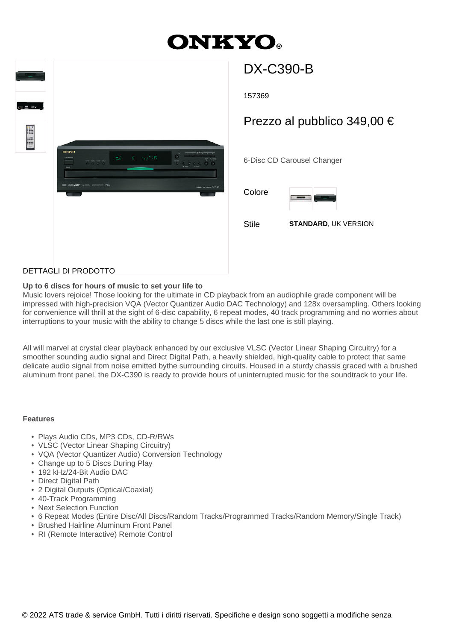# **ONKYO.**



# DX-C390-B

157369

## Prezzo al pubblico 349,00 €

6-Disc CD Carousel Changer

Colore



Stile **STANDARD**, UK VERSION

### DETTAGLI DI PRODOTTO

#### **Up to 6 discs for hours of music to set your life to**

Music lovers rejoice! Those looking for the ultimate in CD playback from an audiophile grade component will be impressed with high-precision VQA (Vector Quantizer Audio DAC Technology) and 128x oversampling. Others looking for convenience will thrill at the sight of 6-disc capability, 6 repeat modes, 40 track programming and no worries about interruptions to your music with the ability to change 5 discs while the last one is still playing.

All will marvel at crystal clear playback enhanced by our exclusive VLSC (Vector Linear Shaping Circuitry) for a smoother sounding audio signal and Direct Digital Path, a heavily shielded, high-quality cable to protect that same delicate audio signal from noise emitted bythe surrounding circuits. Housed in a sturdy chassis graced with a brushed aluminum front panel, the DX-C390 is ready to provide hours of uninterrupted music for the soundtrack to your life.

#### **Features**

- Plays Audio CDs, MP3 CDs, CD-R/RWs
- VLSC (Vector Linear Shaping Circuitry)
- VQA (Vector Quantizer Audio) Conversion Technology
- Change up to 5 Discs During Play
- 192 kHz/24-Bit Audio DAC
- Direct Digital Path
- 2 Digital Outputs (Optical/Coaxial)
- 40-Track Programming
- Next Selection Function
- 6 Repeat Modes (Entire Disc/All Discs/Random Tracks/Programmed Tracks/Random Memory/Single Track)
- Brushed Hairline Aluminum Front Panel
- RI (Remote Interactive) Remote Control